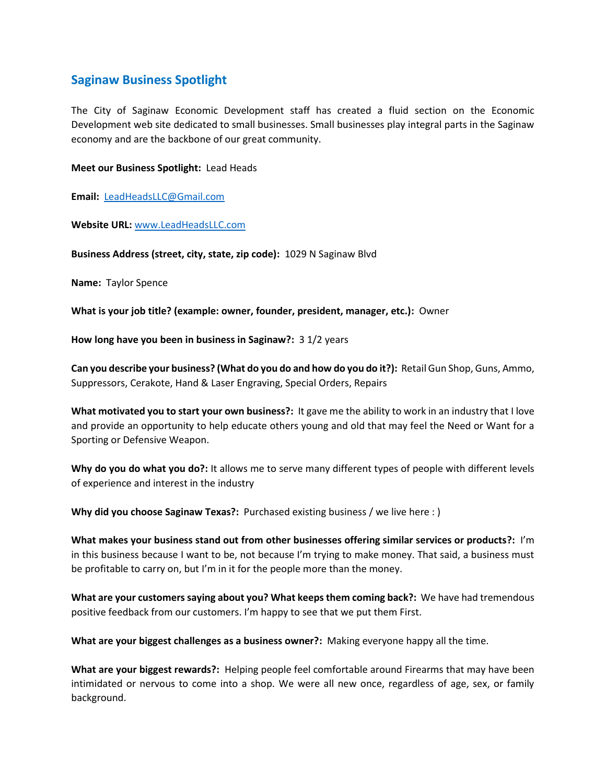## **Saginaw Business Spotlight**

The City of Saginaw Economic Development staff has created a fluid section on the Economic Development web site dedicated to small businesses. Small businesses play integral parts in the Saginaw economy and are the backbone of our great community.

## **Meet our Business Spotlight:** Lead Heads

**Email:** [LeadHeadsLLC@Gmail.com](mailto:LeadHeadsLLC@Gmail.com)

**Website URL:** [www.LeadHeadsLLC.com](http://www.leadheadsllc.com/)

**Business Address (street, city, state, zip code):** 1029 N Saginaw Blvd

**Name:** Taylor Spence

**What is your job title? (example: owner, founder, president, manager, etc.):** Owner

**How long have you been in business in Saginaw?:** 3 1/2 years

**Can you describe your business? (What do you do and how do you do it?):** Retail Gun Shop, Guns, Ammo, Suppressors, Cerakote, Hand & Laser Engraving, Special Orders, Repairs

**What motivated you to start your own business?:** It gave me the ability to work in an industry that I love and provide an opportunity to help educate others young and old that may feel the Need or Want for a Sporting or Defensive Weapon.

**Why do you do what you do?:** It allows me to serve many different types of people with different levels of experience and interest in the industry

**Why did you choose Saginaw Texas?:** Purchased existing business / we live here : )

**What makes your business stand out from other businesses offering similar services or products?:** I'm in this business because I want to be, not because I'm trying to make money. That said, a business must be profitable to carry on, but I'm in it for the people more than the money.

**What are your customers saying about you? What keeps them coming back?:** We have had tremendous positive feedback from our customers. I'm happy to see that we put them First.

**What are your biggest challenges as a business owner?:** Making everyone happy all the time.

**What are your biggest rewards?:** Helping people feel comfortable around Firearms that may have been intimidated or nervous to come into a shop. We were all new once, regardless of age, sex, or family background.